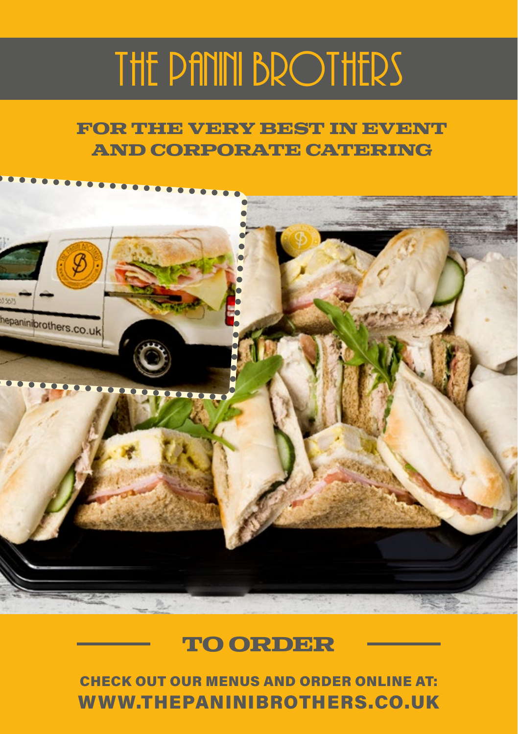# THE PANINI BROTHERS

**For the very Best in Event and Corporate Catering**



## **TO ORDEr**

CHECK OUT OUR MENUS AND ORDER ONLINE AT: WWW.THEPANINIBROTHERS.CO.UK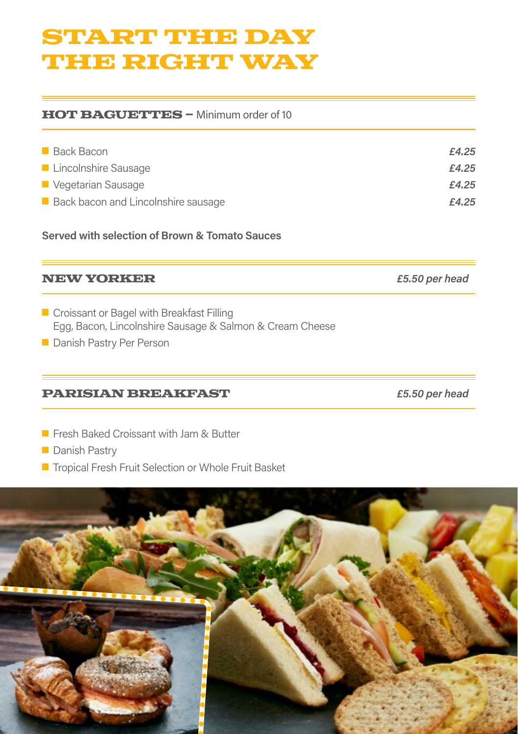## **Start the day the right way**

#### **HOT BAGUETTES – Minimum order of 10**

| Back Bacon                          | £4.25 |
|-------------------------------------|-------|
| Lincolnshire Sausage                | £4.25 |
| Vegetarian Sausage                  | £4.25 |
| Back bacon and Lincolnshire sausage | £4.25 |

**Served with selection of Brown & Tomato Sauces**

#### **New Yorker** *£5.50 per head*

- Croissant or Bagel with Breakfast Filling Egg, Bacon, Lincolnshire Sausage & Salmon & Cream Cheese
- **Danish Pastry Per Person**

#### **Parisian Breakfast** *£5.50 per head*

**Fresh Baked Croissant with Jam & Butter** 

**Danish Pastry** 

■ Tropical Fresh Fruit Selection or Whole Fruit Basket

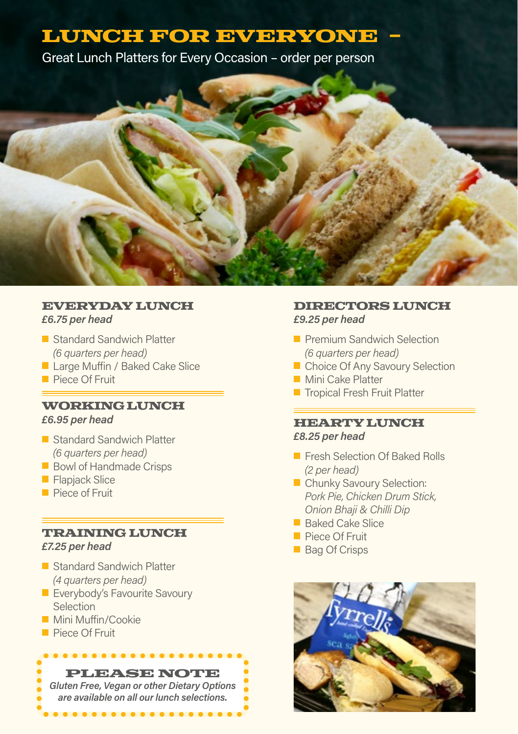## LUNCH FOR EVERYONE

Great Lunch Platters for Every Occasion – order per person



#### **Everyday Lunch**  *£6.75 per head*

- Standard Sandwich Platter *(6 quarters per head)*
- **Large Muffin / Baked Cake Slice**
- **Piece Of Fruit**

#### **Working Lunch**

#### *£6.95 per head*

- Standard Sandwich Platter *(6 quarters per head)*
- Bowl of Handmade Crisps
- **Flapjack Slice**
- Piece of Fruit

#### **Training Lunch**

*£7.25 per head*

- Standard Sandwich Platter *(4 quarters per head)*
- **Exerybody's Favourite Savoury** Selection

. . . . . . . . . . . . .

- **Mini Muffin/Cookie**
- **Piece Of Fruit**

#### **Please Note**

*Gluten Free, Vegan or other Dietary Options are available on all our lunch selections.*

. . . . . . . . . . . . . . . .

#### **Directors Lunch** *£9.25 per head*

- **Premium Sandwich Selection** *(6 quarters per head)*
- Choice Of Any Savoury Selection
- **Mini Cake Platter**
- **Tropical Fresh Fruit Platter**

#### **Hearty Lunch** *£8.25 per head*

- Fresh Selection Of Baked Rolls *(2 per head)*
- Chunky Savoury Selection:  *Pork Pie, Chicken Drum Stick, Onion Bhaji & Chilli Dip*
- Baked Cake Slice
- Piece Of Fruit
- Bag Of Crisps

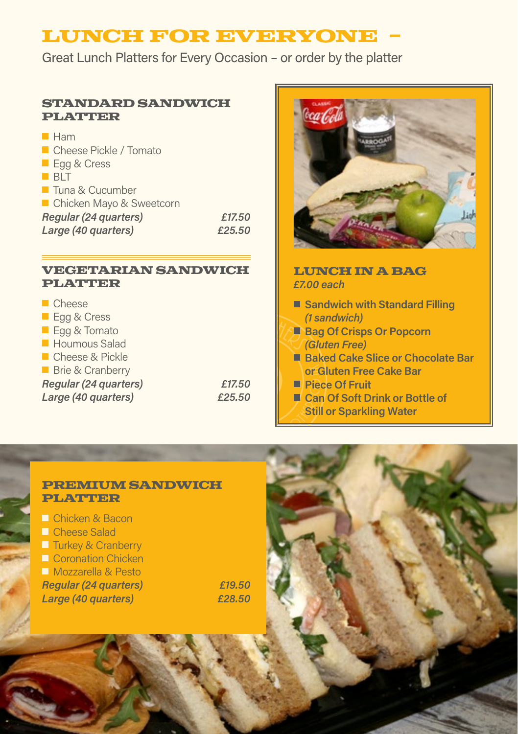## **LUNCH FOR EVERYONE -**

Great Lunch Platters for Every Occasion – or order by the platter

#### **Standard Sandwich**  PLATTER

| Ham                            |        |
|--------------------------------|--------|
| Cheese Pickle / Tomato         |        |
| Egg & Cress                    |        |
| BIT                            |        |
| $\blacksquare$ Tuna & Cucumber |        |
| ■ Chicken Mayo & Sweetcorn     |        |
| Regular (24 quarters)          | £17.50 |
| Large (40 quarters)            | £25.50 |

#### **Vegetarian Sandwich**  PLATTER

| $\blacksquare$ Cheese       |        |
|-----------------------------|--------|
|                             |        |
| $\Box$ Egg & Cress          |        |
| Eqq & Tomato                |        |
| Houmous Salad               |        |
| Cheese & Pickle             |        |
| <b>Brie &amp; Cranberry</b> |        |
| Regular (24 quarters)       | £17.50 |
| Large (40 quarters)         | £25.50 |
|                             |        |



- **Piece Of Fruit**
- Can Of Soft Drink or Bottle of **Still or Sparkling Water**

#### **Premium Sandwich Platter**

| $\Box$ Chicken & Bacon        |  |
|-------------------------------|--|
| <b>□ Cheese Salad</b>         |  |
| $\Box$ Turkey & Cranberry     |  |
| <b>La Coronation Chicken</b>  |  |
| <b>Nozzarella &amp; Pesto</b> |  |
| <b>Regular (24 quarters)</b>  |  |
| Large (40 quarters)           |  |

*Regular (24 quarters) £19.50 Large (40 quarters) £28.50*

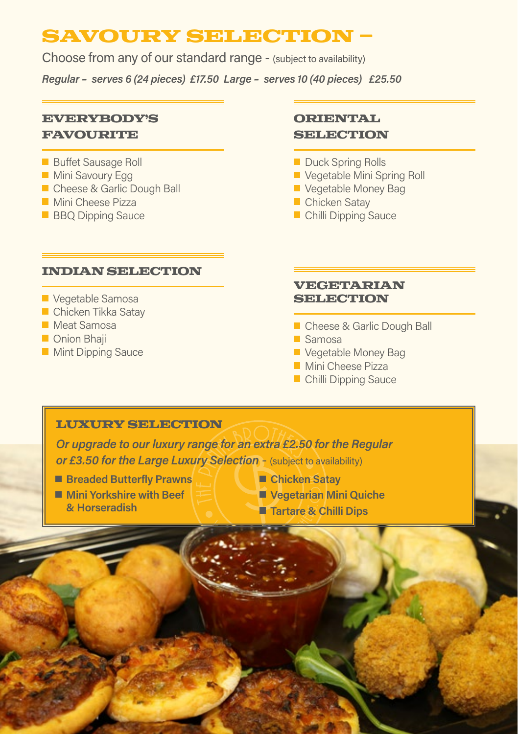## **Savoury Selection –**

Choose from any of our standard range - (subject to availability)

*Regular – serves 6 (24 pieces) £17.50 Large – serves 10 (40 pieces) £25.50* 

#### **Everybody's Favourite**

#### **Buffet Sausage Roll**

- **Mini Savoury Egg**
- Cheese & Garlic Dough Ball
- **Mini Cheese Pizza**
- **BBO Dipping Sauce**

#### **Indian Selection**

#### **Vegetable Samosa**

- Chicken Tikka Satav
- **Meat Samosa**
- **Onion Bhaii**
- **Mint Dipping Sauce**

#### **Oriental SELECTION**

- Duck Spring Rolls
- Vegetable Mini Spring Roll
- **Vegetable Money Bag**
- **Chicken Satav**
- Chilli Dipping Sauce

#### **Vegetarian Selection**

- Cheese & Garlic Dough Ball
- Samosa
- **Vegetable Money Bag**
- **Mini Cheese Pizza**
- **Chilli Dipping Sauce**

#### **LUXURY SELECTION**

*Or upgrade to our luxury range for an extra £2.50 for the Regular or £3.50 for the Large Luxury Selection* - (subject to availability)

- **Breaded Butterfly Prawns**
- **Mini Yorkshire with Beef & Horseradish**
- **Chicken Satay**
- **Vegetarian Mini Quiche**
- **Tartare & Chilli Dips**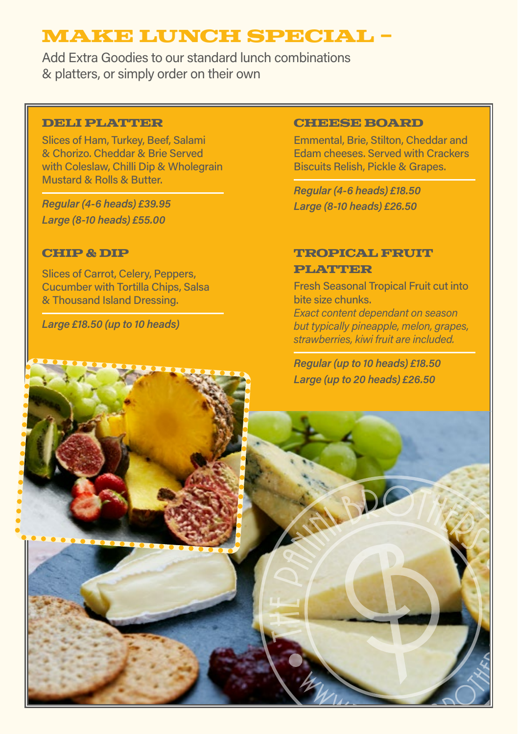## **Make Lunch Special -**

Add Extra Goodies to our standard lunch combinations & platters, or simply order on their own

#### **Deli Platter**

Slices of Ham, Turkey, Beef, Salami & Chorizo. Cheddar & Brie Served with Coleslaw, Chilli Dip & Wholegrain Mustard & Rolls & Butter.

*Regular (4-6 heads) £39.95 Large (8-10 heads) £55.00*

#### **Chip & Dip**

Slices of Carrot, Celery, Peppers, Cucumber with Tortilla Chips, Salsa & Thousand Island Dressing.

*Large £18.50 (up to 10 heads)*

#### **Cheese Board**

Emmental, Brie, Stilton, Cheddar and Edam cheeses. Served with Crackers Biscuits Relish, Pickle & Grapes.

*Regular (4-6 heads) £18.50 Large (8-10 heads) £26.50*

#### **TROPICAL FRUIT Platter**

Fresh Seasonal Tropical Fruit cut into bite size chunks.

*Exact content dependant on season but typically pineapple, melon, grapes, strawberries, kiwi fruit are included.*

*Regular (up to 10 heads) £18.50 Large (up to 20 heads) £26.50*

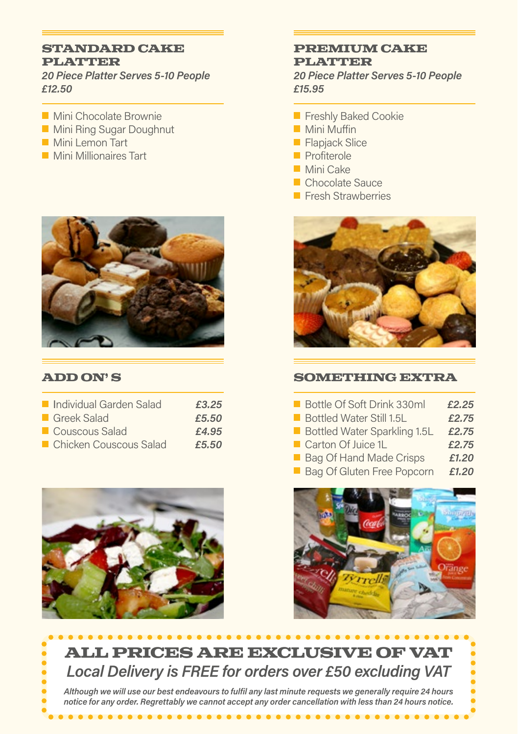#### **Standard Cake Platter**

*20 Piece Platter Serves 5-10 People £12.50*

- **Mini Chocolate Brownie**
- **Mini Ring Sugar Doughnut**
- **Mini Lemon Tart**
- **Mini Millionaires Tart**



#### **Add On' s**

| Individual Garden Salad  | £3.25 |
|--------------------------|-------|
| Greek Salad              | £5.50 |
| Couscous Salad           | £4.95 |
| ■ Chicken Couscous Salad | £5.50 |



. . . . . . . . . . . .

#### **Premium Cake Platter**

*20 Piece Platter Serves 5-10 People £15.95*

- **Freshly Baked Cookie**
- Mini Muffin
- **Flapjack Slice**
- **Profiterole**
- **Mini Cake**
- **Chocolate Sauce**
- **Fresh Strawberries**



#### **SOMETHING EXTRA**

|            | Bottle Of Soft Drink 330ml          | £2.25 |
|------------|-------------------------------------|-------|
|            | Bottled Water Still 1.5L            | £2.75 |
|            | <b>Bottled Water Sparkling 1.5L</b> | £2.75 |
|            | Carton Of Juice 1L                  | £2.75 |
|            | <b>Bag Of Hand Made Crisps</b>      | £1.20 |
| <b>COL</b> | Bag Of Gluten Free Popcorn          | £1.20 |



## **All prices are exclusive of VAT** *Local Delivery is FREE for orders over £50 excluding VAT*

*Although we will use our best endeavours to fulfil any last minute requests we generally require 24 hours notice for any order. Regrettably we cannot accept any order cancellation with less than 24 hours notice.*